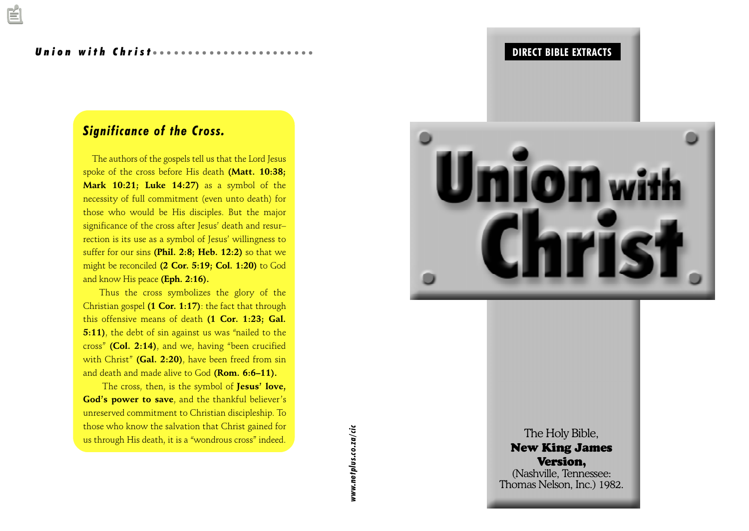#### Union with Christ *aaaaaa*a

# Significance of the Cross.

 The authors of the gospels tell us that the Lord Jesus spoke of the cross before His death (Matt. 10:38; Mark 10:21; Luke 14:27) as a symbol of the necessity of full commitment (even unto death) for those who would be His disciples. But the major significance of the cross after Jesus' death and resurrection is its use as a symbol of Jesus' willingness to suffer for our sins (Phil. 2:8; Heb. 12:2) so that we might be reconciled (2 Cor. 5:19; Col. 1:20) to God and know His peace (Eph. 2:16).

Thus the cross symbolizes the glory of the Christian gospel (1 Cor. 1:17): the fact that through this offensive means of death (1 Cor. 1:23; Gal. 5:11), the debt of sin against us was "nailed to the cross" (Col. 2:14), and we, having "been crucified with Christ" (Gal. 2:20), have been freed from sin and death and made alive to God (Rom. 6:6-11).

The cross, then, is the symbol of Jesus' love, God's power to save, and the thankful believer's unreserved commitment to Christian discipleship. To those who know the salvation that Christ gained for us through His death, it is a "wondrous cross" indeed.



aaaaaaaaaaaaaaaaaaaaaaaaaaaaaaaaaa aaaaa DIRECT BIBLE EXTRACTS

The  $\,$ New 1 V (Nashvi<br>Thomas N  $\frac{1}{2}$  Thomas N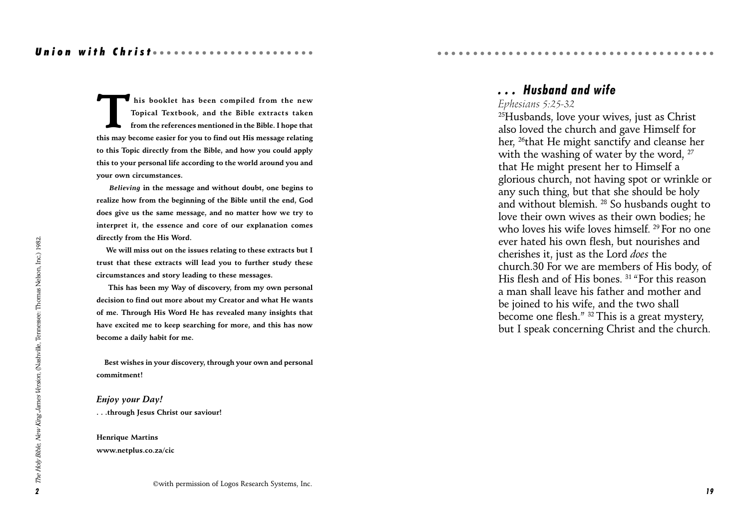This booklet has been compiled from the new<br>Topical Textbook, and the Bible extracts taken<br>from the references mentioned in the Bible. I hope that<br>this may become easier for you to find out His message relating Topical Textbook, and the Bible extracts taken from the references mentioned in the Bible. I hope that this may become easier for you to find out His message relating to this Topic directly from the Bible, and how you could apply this to your personal life according to the world around you and your own circumstances.

 *Believing* in the message and without doubt, one begins to realize how from the beginning of the Bible until the end, God does give us the same message, and no matter how we try to interpret it, the essence and core of our explanation comes directly from the His Word.

 We will miss out on the issues relating to these extracts but I trust that these extracts will lead you to further study these circumstances and story leading to these messages.

 This has been my Way of discovery, from my own personal decision to find out more about my Creator and what He wants of me. Through His Word He has revealed many insights that have excited me to keep searching for more, and this has now become a daily habit for me.

 Best wishes in your discovery, through your own and personal commitment!

Enjoy your Day! . . .through Jesus Christ our saviour!

Henrique Martins www.netplus.co.za/cic

#### ©with permission of Logos Research Systems, Inc.

# . . . Husband and wife

aaaaaaaaaaaaaaaaaaaaaaaaaaaaaaaaaa aaaaa

#### Ephesians 5:25-32

 $25$ Husbands, love your wives, just as Christ also loved the church and gave Himself for her, 26that He might sanctify and cleanse her with the washing of water by the word, <sup>27</sup> that He might present her to Himself a glorious church, not having spot or wrinkle or any such thing, but that she should be holy and without blemish. 28 So husbands ought to love their own wives as their own bodies; he who loves his wife loves himself. <sup>29</sup> For no one ever hated his own flesh, but nourishes and cherishes it, just as the Lord does the church.30 For we are members of His body, of His flesh and of His bones.  $31$  "For this reason a man shall leave his father and mother and be joined to his wife, and the two shall become one flesh." <sup>32</sup> This is a great mystery, but I speak concerning Christ and the church.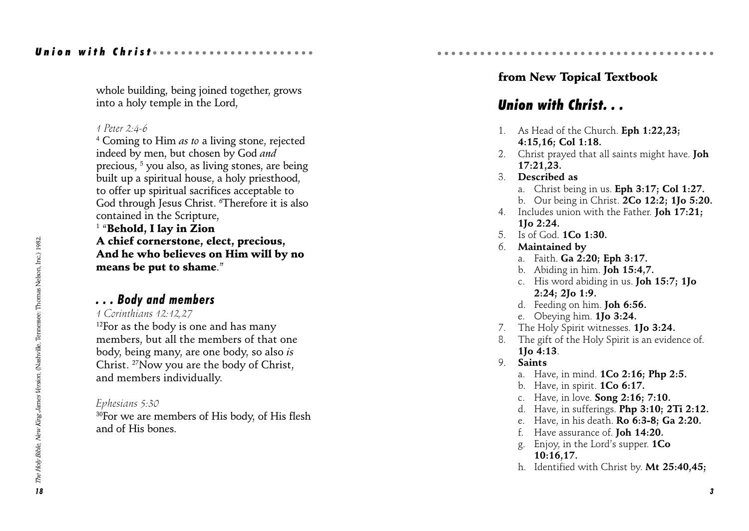#### Union with Christ *and an annual* and the Union

whole building, being joined together, grows into a holy temple in the Lord,

#### 1 Peter 2:4-6

<sup>4</sup> Coming to Him *as to* a living stone, rejected indeed by men, but chosen by God and precious,  $^5$  you also, as living stones, are being built up a spiritual house, a holy priesthood, to offer up spiritual sacrifices acceptable to God through Jesus Christ. 6 Therefore it is also contained in the Scripture,

 $^{\rm 1}$  "Behold, I lay in Zion A chief cornerstone, elect, precious, And he who believes on Him will by no means be put to shame.

### . . . Body and members

#### 1 Corinthians 12:12,27

 $12$ For as the body is one and has many members, but all the members of that one body, being many, are one body, so also is Christ. 27Now you are the body of Christ, and members individually.

#### Ephesians 5:30

<sup>30</sup>For we are members of His body, of His flesh and of His bones.

## from New Topical Textbook

aaaaaaaaaaaaaaaaaaaaaaaaaaaaaaaaaa aaaaa

# Union with Christ. . .

- 1. As Head of the Church. Eph 1:22,23; 4:15,16; Col 1:18.
- 2. Christ prayed that all saints might have. **Joh** 17:21,23.
- 3. Described as
	- a. Christ being in us. Eph 3:17; Col 1:27.
	- b. Our being in Christ. 2Co 12:2; 1Jo 5:20.
- 4. Includes union with the Father. Joh 17:21; 1Jo 2:24.
- 5. Is of God. 1Co 1:30.
- 6. Maintained by
	- a. Faith. Ga 2:20; Eph 3:17.
	- b. Abiding in him. Joh 15:4,7.
	- c. His word abiding in us. Joh 15:7; 1Jo 2:24; 2Jo 1:9.
	- d. Feeding on him. Joh 6:56.
	- e. Obeying him. 1Jo 3:24.
- 7. The Holy Spirit witnesses. 1Jo 3:24.
- 8. The gift of the Holy Spirit is an evidence of. 1Jo 4:13.
- 9. Saints
	- a. Have, in mind. 1Co 2:16; Php 2:5.
	- b. Have, in spirit. 1Co 6:17.
	- c. Have, in love. Song 2:16; 7:10.
	- d. Have, in sufferings. Php 3:10; 2Ti 2:12.
	- e. Have, in his death. Ro 6:3-8; Ga 2:20.
	- f. Have assurance of. Joh 14:20.
	- g. Enjoy, in the Lord's supper.  $1Co$ 10:16,17.
	- h. Identified with Christ by. Mt 25:40,45;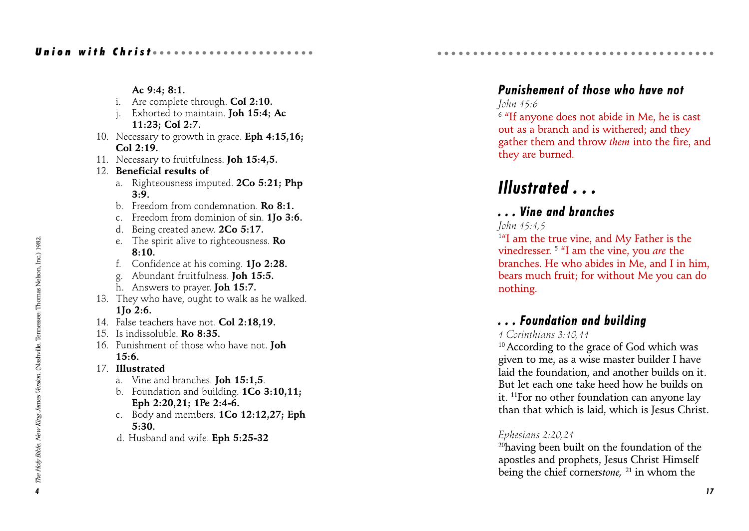Ac 9:4; 8:1. i. Are complete through. Col 2:10. j. Exhorted to maintain. Joh 15:4; Ac 11:23; Col 2:7. 10. Necessary to growth in grace. **Eph 4:15,16;** Col 2:19. 11. Necessary to fruitfulness. **Joh 15:4,5.** 12. Beneficial results of a. Righteousness imputed. 2Co 5:21; Php 3:9. b. Freedom from condemnation **Ro 8:1.** c. Freedom from dominion of sin. 1Jo 3:6. d. Being created anew. 2Co 5:17. e. The spirit alive to righteousness. Ro 8:10. f. Confidence at his coming. 1Jo 2:28. g. Abundant fruitfulness. Joh 15:5. h. Answers to prayer. Joh 15:7. 13. They who have, ought to walk as he walked. 1Jo 2:6. 14. False teachers have not. Col 2:18,19. 15. Is indissoluble. Ro 8:35. 16. Punishment of those who have not. Joh 15:6. 17. Illustrated a. Vine and branches. Joh 15:1,5. b. Foundation and building. 1Co 3:10,11; Eph 2:20,21; 1Pe 2:4-6.

- c. Body and members. 1Co 12:12,27; Eph 5:30.
- d. Husband and wife. Eph 5:25-32

# Punishement of those who have not

aaaaaaaaaaaaaaaaaaaaaaaaaaaaaaaaaa aaaaa

### John 15:6

 $6$  "If anyone does not abide in Me, he is cast out as a branch and is withered; and they gather them and throw them into the fire, and they are burned.

# Illustrated . . .

# . . . Vine and branches

#### John 15:1,5

<sup>1"</sup>I am the true vine, and My Father is the vinedresser.  $5$  "I am the vine, you are the branches. He who abides in Me, and I in him, bears much fruit; for without Me you can do nothing.

# . . . Foundation and building

### 1 Corinthians 3:10,11

<sup>10</sup> According to the grace of God which was given to me, as a wise master builder I have laid the foundation, and another builds on it. But let each one take heed how he builds on it. 11For no other foundation can anyone lay than that which is laid, which is Jesus Christ.

### Ephesians 2:20,21

<sup>20</sup>having been built on the foundation of the apostles and prophets, Jesus Christ Himself being the chief cornerstone,  $^{21}$  in whom the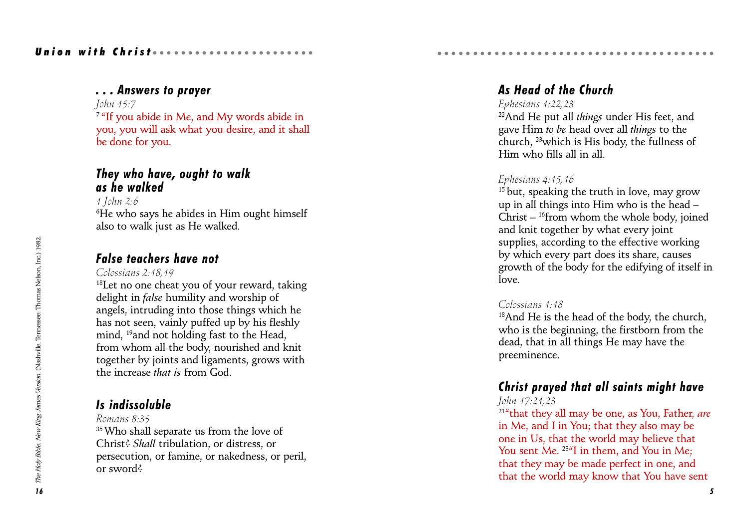# Union with Christ *aaaaaaaa*aaaaaaa

## . . . Answers to prayer

John 15:7

<sup>7</sup> "If you abide in Me, and My words abide in you, you will ask what you desire, and it shall be done for you.

# They who have, ought to walk as he walked

1 John 2:6  $^6\!text{He}$  who says he abides in Him ought himself also to walk just as He walked.

# False teachers have not

Colossians 2:18,19

18Let no one cheat you of your reward, taking delight in false humility and worship of angels, intruding into those things which he has not seen, vainly puffed up by his fleshly mind, <sup>19</sup> and not holding fast to the Head, from whom all the body, nourished and knit together by joints and ligaments, grows with the increase that is from God.

# Is indissoluble

Romans 8:35 <sup>35</sup> Who shall separate us from the love of Christ? Shall tribulation, or distress, or persecution, or famine, or nakedness, or peril, or sword?

# As Head of the Church

aaaaaaaaaaaaaaaaaaaaaaaaaaaaaaaaaa aaaaa

#### Ephesians 1:22,23

 $22$ And He put all *things* under His feet, and gave Him to be head over all things to the church, 23which is His body, the fullness of Him who fills all in all.

# Ephesians 4:15,16

 $15$  but, speaking the truth in love, may grow up in all things into Him who is the head Christ  $-$  <sup>16</sup>from whom the whole body, joined and knit together by what every joint supplies, according to the effective working by which every part does its share, causes growth of the body for the edifying of itself in love.

### Colossians 1:18

<sup>18</sup>And He is the head of the body, the church, who is the beginning, the firstborn from the dead, that in all things He may have the preeminence.

# Christ prayed that all saints might have

#### John 17:21,23

 $214$ <sup>that they all may be one, as You, Father, are</sup> in Me, and I in You; that they also may be one in Us, that the world may believe that You sent Me. <sup>234</sup>I in them, and You in Me; that they may be made perfect in one, and that the world may know that You have sent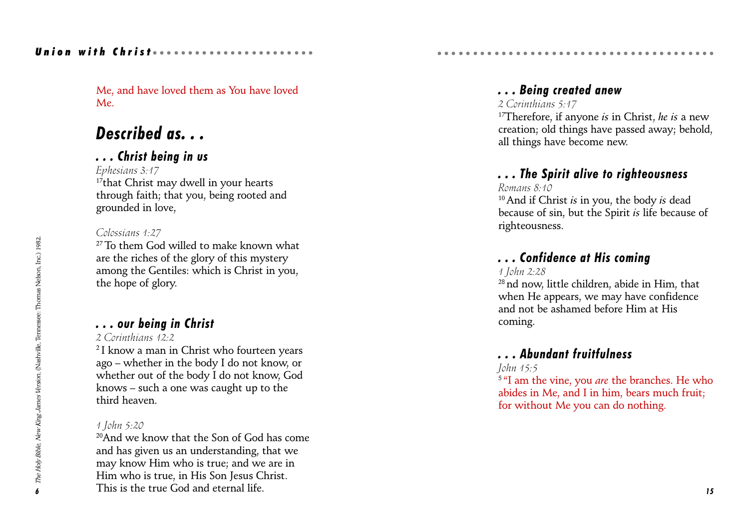## Union with Christ *and an annual* and the Union

Me, and have loved them as You have loved Me.

# Described as...

## . . . Christ being in us

Ephesians 3:17

 $17$ that Christ may dwell in your hearts through faith; that you, being rooted and grounded in love,

#### Colossians 1:27

<sup>27</sup> To them God willed to make known what are the riches of the glory of this mystery among the Gentiles: which is Christ in you, the hope of glory.

# . . . our being in Christ

### 2 Corinthians 12:2

<sup>2</sup> I know a man in Christ who fourteen years ago – whether in the body I do not know, or whether out of the body I do not know, God knows  $-$  such a one was caught up to the third heaven.

#### 1 John 5:20

20And we know that the Son of God has come and has given us an understanding, that we may know Him who is true; and we are in Him who is true, in His Son Jesus Christ. This is the true God and eternal life.

# . . . Being created anew

aaaaaaaaaaaaaaaaaaaaaaaaaaaaaaaaaa aaaaa

#### 2 Corinthians 5:47

<sup>17</sup>Therefore, if anyone *is* in Christ, *he is* a new creation; old things have passed away; behold, all things have become new.

# . . . The Spirit alive to righteousness

#### Romans 8:10

 $10$  And if Christ *is* in you, the body *is* dead because of sin, but the Spirit is life because of righteousness.

# . . . Confidence at His coming

### 1 John 2:28

28 nd now, little children, abide in Him, that when He appears, we may have confidence and not be ashamed before Him at His coming.

# . . . Abundant fruitfulness

#### John 15:5

 $5$  "I am the vine, you *are* the branches. He who abides in Me, and I in him, bears much fruit; for without Me you can do nothing.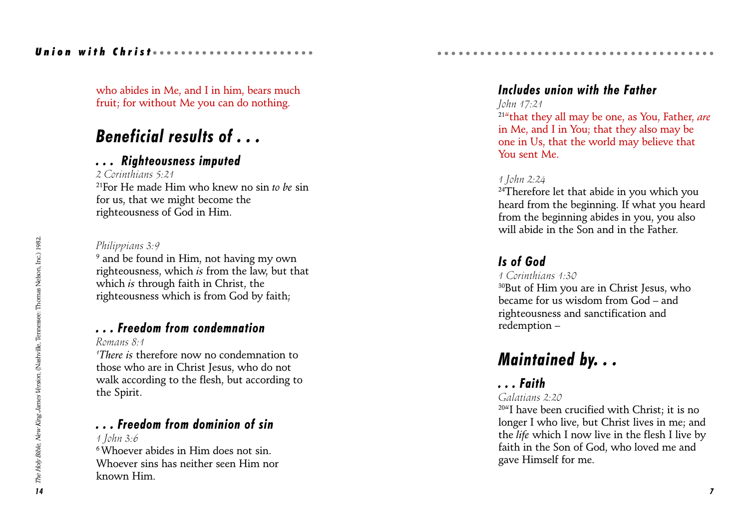### Union with Christ *and and an annual* and

who abides in Me, and I in him, bears much fruit; for without Me you can do nothing.

# Beneficial results of . . .

## . . . Righteousness imputed

2 Corinthians 5:21 <sup>21</sup>For He made Him who knew no sin to be sin for us, that we might become the righteousness of God in Him.

#### Philippians 3:9

9 and be found in Him, not having my own righteousness, which is from the law, but that which *is* through faith in Christ, the righteousness which is from God by faith;

# . . . Freedom from condemnation

Romans 8:1

1 There is therefore now no condemnation to those who are in Christ Jesus, who do not walk according to the flesh, but according to the Spirit.

# . . . Freedom from dominion of sin

1 John 3:6

6 Whoever abides in Him does not sin. Whoever sins has neither seen Him nor known Him.

# Includes union with the Father

aaaaaaaaaaaaaaaaaaaaaaaaaaaaaaaaaa aaaaa

### John 17:21

 $214$ that they all may be one, as You, Father, are in Me, and I in You; that they also may be one in Us, that the world may believe that You sent Me.

### 1 John 2:24

<sup>24</sup>Therefore let that abide in you which you heard from the beginning. If what you heard from the beginning abides in you, you also will abide in the Son and in the Father.

# Is of God

1 Corinthians 1:30

30But of Him you are in Christ Jesus, who became for us wisdom from  $God = and$ righteousness and sanctification and redemption

# Maintained by. . .

# . . . Faith

### Galatians 2:20

 $20$ <sup>4</sup>I have been crucified with Christ; it is no longer I who live, but Christ lives in me; and the life which I now live in the flesh I live by faith in the Son of God, who loved me and gave Himself for me.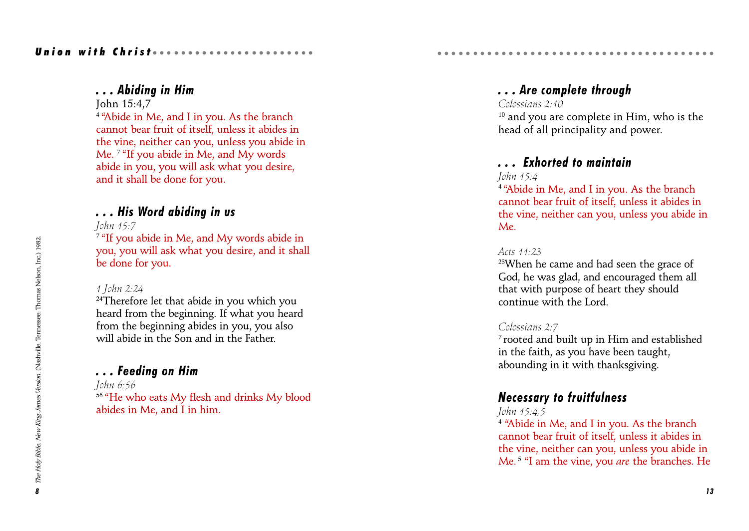### . . . Abiding in Him

John 15:4,7

<sup>4</sup> "Abide in Me, and I in you. As the branch cannot bear fruit of itself, unless it abides in the vine, neither can you, unless you abide in Me.<sup>7</sup> "If you abide in Me, and My words abide in you, you will ask what you desire, and it shall be done for you.

# . . . His Word abiding in us

John 15:7

<sup>7</sup> "If you abide in Me, and My words abide in you, you will ask what you desire, and it shall be done for you.

#### 1 John 2:24

<sup>24</sup>Therefore let that abide in you which you heard from the beginning. If what you heard from the beginning abides in you, you also will abide in the Son and in the Father.

# . . . Feeding on Him

John 6:56 <sup>56</sup> "He who eats My flesh and drinks My blood abides in Me, and I in him.

# . . . Are complete through

aaaaaaaaaaaaaaaaaaaaaaaaaaaaaaaaaa aaaaa

Colossians 2:10

<sup>10</sup> and you are complete in Him, who is the head of all principality and power.

# . . . Exhorted to maintain

John 15:4

<sup>4</sup> "Abide in Me, and I in you. As the branch cannot bear fruit of itself, unless it abides in the vine, neither can you, unless you abide in Me.

#### Acts 11:23

23When he came and had seen the grace of God, he was glad, and encouraged them all that with purpose of heart they should continue with the Lord.

#### Colossians 2:7

7 rooted and built up in Him and established in the faith, as you have been taught, abounding in it with thanksgiving.

# Necessary to fruitfulness

John 15:4,5

<sup>4</sup> "Abide in Me, and I in you. As the branch cannot bear fruit of itself, unless it abides in the vine, neither can you, unless you abide in Me.<sup>5 "I</sup> am the vine, you are the branches. He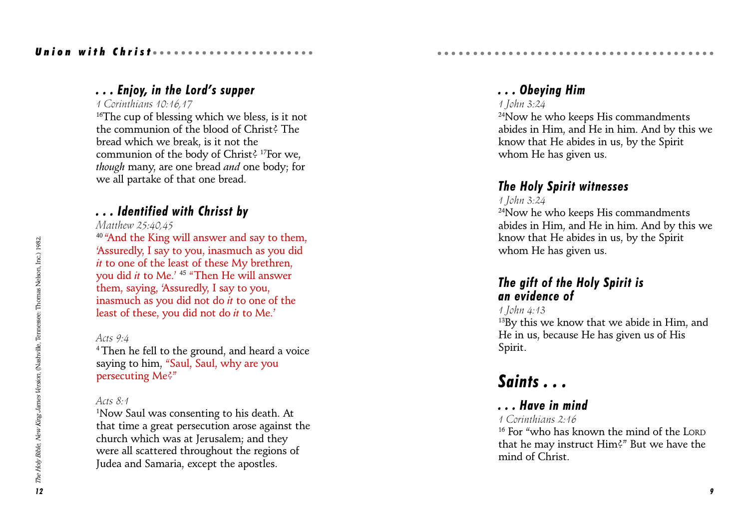# Union with Christ *and an aaaaaaaaa*aa

# ... Enjoy, in the Lord's supper

#### 1 Corinthians 10:16,17

 $16$ <sup>16</sup>The cup of blessing which we bless, is it not the communion of the blood of Christ? The bread which we break, is it not the communion of the body of Christ? 17For we, though many, are one bread and one body; for we all partake of that one bread.

# . . . Identified with Chrisst by

Matthew 25:40,45

<sup>40</sup> "And the King will answer and say to them, Assuredly, I say to you, inasmuch as you did it to one of the least of these My brethren, you did *it* to Me.' <sup>45</sup> "Then He will answer them, saying, Assuredly, I say to you, inasmuch as you did not do it to one of the least of these, you did not do it to Me.

#### Acts 9:4

4 Then he fell to the ground, and heard a voice saying to him, "Saul, Saul, why are you persecuting Me?

#### Acts 8:1

1 Now Saul was consenting to his death. At that time a great persecution arose against the church which was at Jerusalem; and they were all scattered throughout the regions of Judea and Samaria, except the apostles.

# . . . Obeying Him

### 1 John 3:24

<sup>24</sup>Now he who keeps His commandments abides in Him, and He in him. And by this we know that He abides in us, by the Spirit whom He has given us.

# The Holy Spirit witnesses

aaaaaaaaaaaaaaaaaaaaaaaaaaaaaaaaaa aaaaa

1 John 3:24

24Now he who keeps His commandments abides in Him, and He in him. And by this we know that He abides in us, by the Spirit whom He has given us.

# The gift of the Holy Spirit is an evidence of

#### 1 John 4:13

<sup>13</sup>By this we know that we abide in Him, and He in us, because He has given us of His Spirit.

# Saints . . .

# . . . Have in mind

#### 1 Corinthians 2:16

<sup>16</sup> For "who has known the mind of the LORD that he may instruct Him?" But we have the mind of Christ.